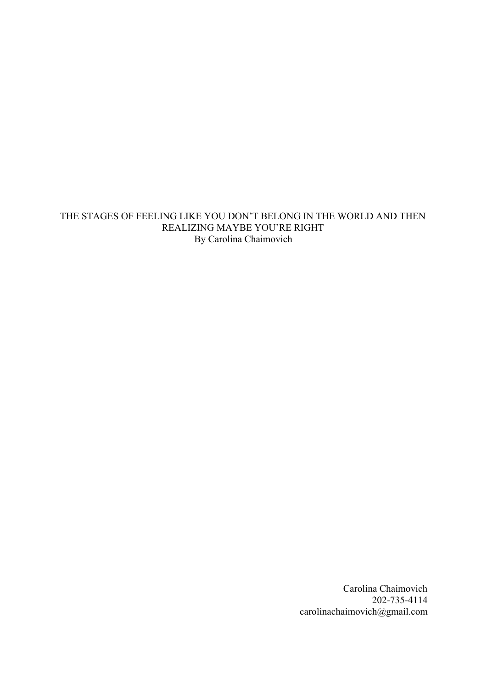THE STAGES OF FEELING LIKE YOU DON'T BELONG IN THE WORLD AND THEN REALIZING MAYBE YOU'RE RIGHT By Carolina Chaimovich

> Carolina Chaimovich 202-735-4114 carolinachaimovich@gmail.com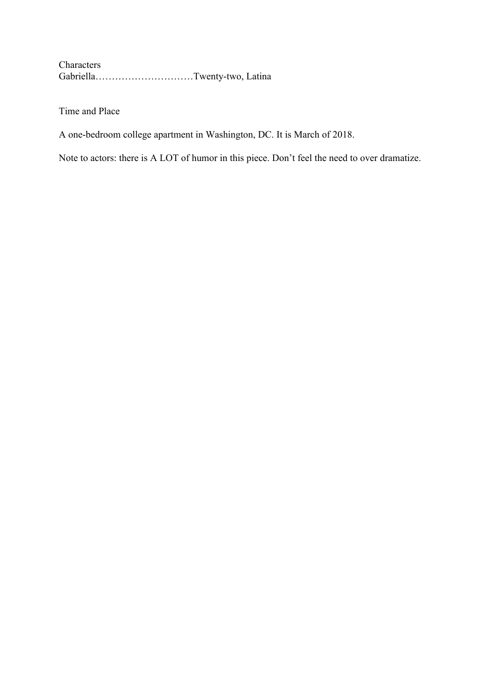**Characters** Gabriella…………………………Twenty-two, Latina

Time and Place

A one-bedroom college apartment in Washington, DC. It is March of 2018.

Note to actors: there is A LOT of humor in this piece. Don't feel the need to over dramatize.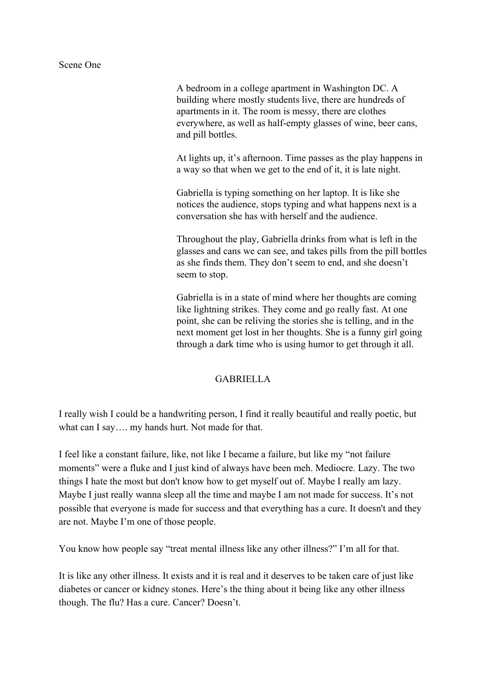A bedroom in a college apartment in Washington DC. A building where mostly students live, there are hundreds of apartments in it. The room is messy, there are clothes everywhere, as well as half-empty glasses of wine, beer cans, and pill bottles.

At lights up, it's afternoon. Time passes as the play happens in a way so that when we get to the end of it, it is late night.

Gabriella is typing something on her laptop. It is like she notices the audience, stops typing and what happens next is a conversation she has with herself and the audience.

Throughout the play, Gabriella drinks from what is left in the glasses and cans we can see, and takes pills from the pill bottles as she finds them. They don't seem to end, and she doesn't seem to stop.

Gabriella is in a state of mind where her thoughts are coming like lightning strikes. They come and go really fast. At one point, she can be reliving the stories she is telling, and in the next moment get lost in her thoughts. She is a funny girl going through a dark time who is using humor to get through it all.

## **GABRIELLA**

I really wish I could be a handwriting person, I find it really beautiful and really poetic, but what can I say…. my hands hurt. Not made for that.

I feel like a constant failure, like, not like I became a failure, but like my "not failure moments" were a fluke and I just kind of always have been meh. Mediocre. Lazy. The two things I hate the most but don't know how to get myself out of. Maybe I really am lazy. Maybe I just really wanna sleep all the time and maybe I am not made for success. It's not possible that everyone is made for success and that everything has a cure. It doesn't and they are not. Maybe I'm one of those people.

You know how people say "treat mental illness like any other illness?" I'm all for that.

It is like any other illness. It exists and it is real and it deserves to be taken care of just like diabetes or cancer or kidney stones. Here's the thing about it being like any other illness though. The flu? Has a cure. Cancer? Doesn't.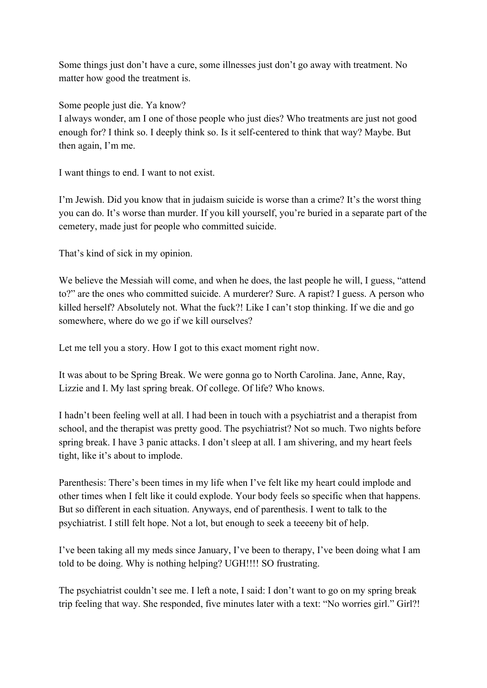Some things just don't have a cure, some illnesses just don't go away with treatment. No matter how good the treatment is.

Some people just die. Ya know?

I always wonder, am I one of those people who just dies? Who treatments are just not good enough for? I think so. I deeply think so. Is it self-centered to think that way? Maybe. But then again, I'm me.

I want things to end. I want to not exist.

I'm Jewish. Did you know that in judaism suicide is worse than a crime? It's the worst thing you can do. It's worse than murder. If you kill yourself, you're buried in a separate part of the cemetery, made just for people who committed suicide.

That's kind of sick in my opinion.

We believe the Messiah will come, and when he does, the last people he will, I guess, "attend" to?" are the ones who committed suicide. A murderer? Sure. A rapist? I guess. A person who killed herself? Absolutely not. What the fuck?! Like I can't stop thinking. If we die and go somewhere, where do we go if we kill ourselves?

Let me tell you a story. How I got to this exact moment right now.

It was about to be Spring Break. We were gonna go to North Carolina. Jane, Anne, Ray, Lizzie and I. My last spring break. Of college. Of life? Who knows.

I hadn't been feeling well at all. I had been in touch with a psychiatrist and a therapist from school, and the therapist was pretty good. The psychiatrist? Not so much. Two nights before spring break. I have 3 panic attacks. I don't sleep at all. I am shivering, and my heart feels tight, like it's about to implode.

Parenthesis: There's been times in my life when I've felt like my heart could implode and other times when I felt like it could explode. Your body feels so specific when that happens. But so different in each situation. Anyways, end of parenthesis. I went to talk to the psychiatrist. I still felt hope. Not a lot, but enough to seek a teeeeny bit of help.

I've been taking all my meds since January, I've been to therapy, I've been doing what I am told to be doing. Why is nothing helping? UGH!!!! SO frustrating.

The psychiatrist couldn't see me. I left a note, I said: I don't want to go on my spring break trip feeling that way. She responded, five minutes later with a text: "No worries girl." Girl?!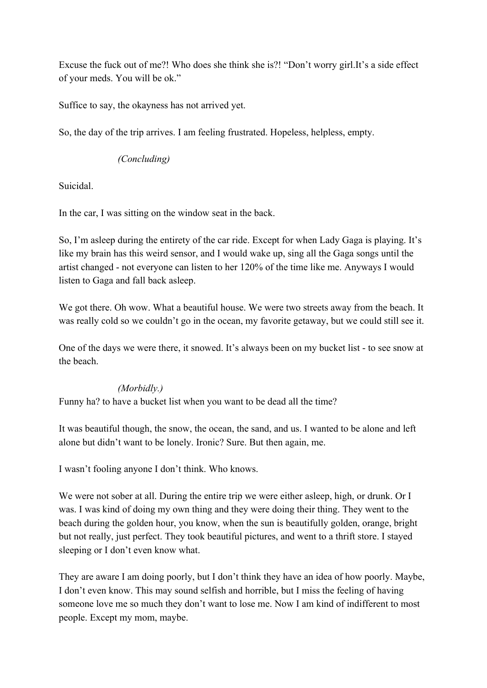Excuse the fuck out of me?! Who does she think she is?! "Don't worry girl.It's a side effect of your meds. You will be ok."

Suffice to say, the okayness has not arrived yet.

So, the day of the trip arrives. I am feeling frustrated. Hopeless, helpless, empty.

## *(Concluding)*

Suicidal.

In the car, I was sitting on the window seat in the back.

So, I'm asleep during the entirety of the car ride. Except for when Lady Gaga is playing. It's like my brain has this weird sensor, and I would wake up, sing all the Gaga songs until the artist changed - not everyone can listen to her 120% of the time like me. Anyways I would listen to Gaga and fall back asleep.

We got there. Oh wow. What a beautiful house. We were two streets away from the beach. It was really cold so we couldn't go in the ocean, my favorite getaway, but we could still see it.

One of the days we were there, it snowed. It's always been on my bucket list - to see snow at the beach.

## *(Morbidly.)*

Funny ha? to have a bucket list when you want to be dead all the time?

It was beautiful though, the snow, the ocean, the sand, and us. I wanted to be alone and left alone but didn't want to be lonely. Ironic? Sure. But then again, me.

I wasn't fooling anyone I don't think. Who knows.

We were not sober at all. During the entire trip we were either asleep, high, or drunk. Or I was. I was kind of doing my own thing and they were doing their thing. They went to the beach during the golden hour, you know, when the sun is beautifully golden, orange, bright but not really, just perfect. They took beautiful pictures, and went to a thrift store. I stayed sleeping or I don't even know what.

They are aware I am doing poorly, but I don't think they have an idea of how poorly. Maybe, I don't even know. This may sound selfish and horrible, but I miss the feeling of having someone love me so much they don't want to lose me. Now I am kind of indifferent to most people. Except my mom, maybe.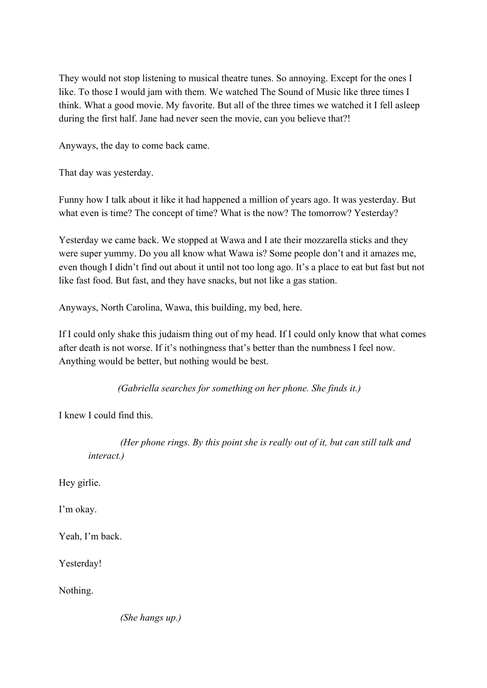They would not stop listening to musical theatre tunes. So annoying. Except for the ones I like. To those I would jam with them. We watched The Sound of Music like three times I think. What a good movie. My favorite. But all of the three times we watched it I fell asleep during the first half. Jane had never seen the movie, can you believe that?!

Anyways, the day to come back came.

That day was yesterday.

Funny how I talk about it like it had happened a million of years ago. It was yesterday. But what even is time? The concept of time? What is the now? The tomorrow? Yesterday?

Yesterday we came back. We stopped at Wawa and I ate their mozzarella sticks and they were super yummy. Do you all know what Wawa is? Some people don't and it amazes me, even though I didn't find out about it until not too long ago. It's a place to eat but fast but not like fast food. But fast, and they have snacks, but not like a gas station.

Anyways, North Carolina, Wawa, this building, my bed, here.

If I could only shake this judaism thing out of my head. If I could only know that what comes after death is not worse. If it's nothingness that's better than the numbness I feel now. Anything would be better, but nothing would be best.

*(Gabriella searches for something on her phone. She finds it.)*

I knew I could find this.

*(Her phone rings. By this point she is really out of it, but can still talk and interact.)*

Hey girlie.

I'm okay.

Yeah, I'm back.

Yesterday!

Nothing.

*(She hangs up.)*